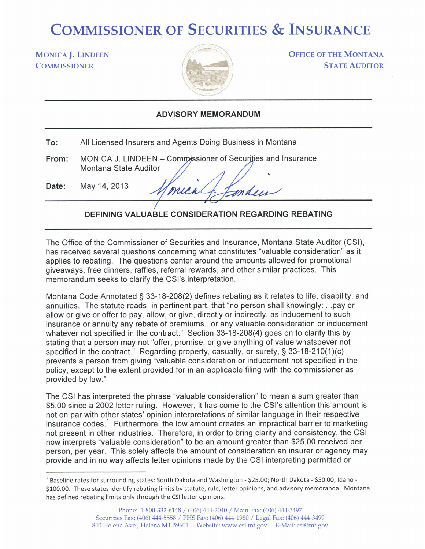## COMMISSIONER OF SECURITIES & INSURANCE

## **MONICA J. LINDEEN COMMISSIONER**



**OFFICE OF THE MONTANA STATE AUDITOR** 

## ADVISORY MEMORANDUM

| To: | All Licensed Insurers and Agents Doing Business in Montana |  |  |
|-----|------------------------------------------------------------|--|--|
|-----|------------------------------------------------------------|--|--|

MONICA J. LINDEEN – Commissioner of Securities and Insurance, From: Montana State Auditor

May 14, 2013 Date:

mica mden

## DEFINING VALUABLE CONSIDERATION REGARDING REBATING

The Office of the Commissioner of Securities and lnsurance, Montana State Auditor (CSl), has received several questions concerning what constitutes "valuable consideration" as it applies to rebating. The questions center around the amounts allowed for promotional giveaways, free dinners, raffles, referral rewards, and other similar practices. This memorandum seeks to clarify the CSI's interpretation.

Montana Code Annotated  $\S$  33-18-208(2) defines rebating as it relates to life, disability, and annuities. The statute reads, in pertinent part, that "no person shall knowingly: ...pay or allow or give or offer to pay, allow, or give, directly or indirectly, as inducement to such insurance or annuity any rebate of premiums...or any valuable consideration or inducement whatever not specified in the contract." Section 33-18-208(4) goes on to clarify this by stating that a person may not "offer, promise, or give anything of value whatsoever not specified in the contract." Regarding property, casualty, or surety,  $\S$  33-18-210(1)(c) prevents a person from giving "valuable consideration or inducement not specified in the policy, except to the extent provided for in an applicable filing with the commissioner as provided by law."

The CSI has interpreted the phrase "valuable consideration" to mean a sum greater than \$5.00 since a 2002 letter ruling. However, it has come to the CSI's attention this amount is not on par with other states' opinion interpretations of similar language in their respective insurance codes.<sup>1</sup> Furthermore, the low amount creates an impractical barrier to marketing not present in other industries. Therefore, in order to bring clarity and consistency, the CSI now interprets "valuable consideration" to be an amount greater than \$25.00 received per person, per year. This solely affects the amount of consideration an insurer or agency may provide and in no way affects letter opinions made by the CSI interpreting permitted or

 $^1$  Baseline rates for surrounding states: South Dakota and Washington - \$25.00; North Dakota - \$50.00; Idaho -S100.00. These states identify rebating limits by statute, rule, letter opinions, and advisory memoranda. Montana has defined rebating limits only through the CSI letter opinions.